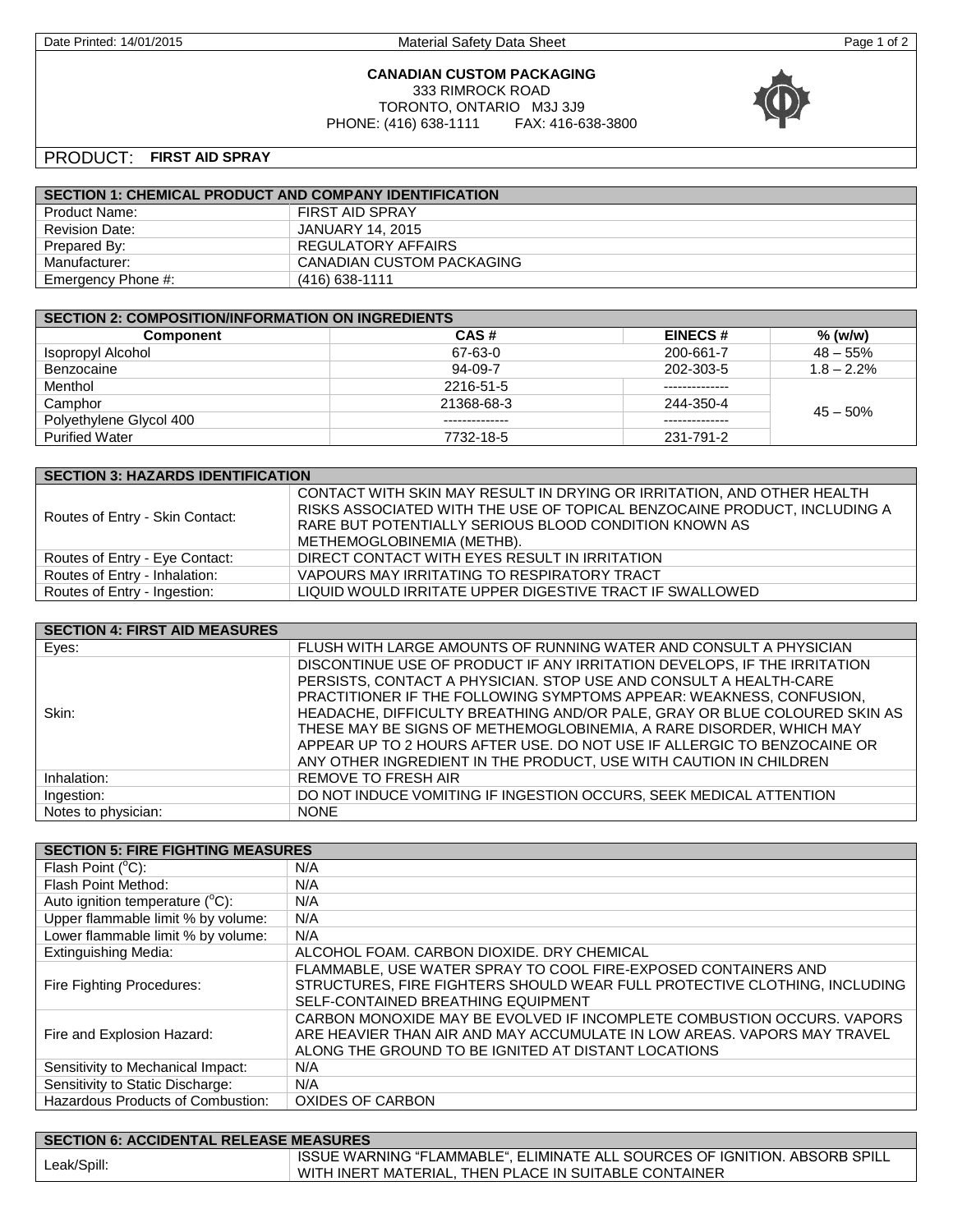Date Printed: 14/01/2015 Material Safety Data Sheet Printed: 14/01/2015 Page 1 of 2

### **CANADIAN CUSTOM PACKAGING** 333 RIMROCK ROAD TORONTO, ONTARIO M3J 3J9<br>: (416) 638-1111 FAX: 416-638-3800 PHONE: (416) 638-1111



# PRODUCT: **FIRST AID SPRAY**

| <b>SECTION 1: CHEMICAL PRODUCT AND COMPANY IDENTIFICATION</b> |                           |
|---------------------------------------------------------------|---------------------------|
| Product Name:                                                 | FIRST AID SPRAY           |
| <b>Revision Date:</b>                                         | JANUARY 14. 2015          |
| Prepared By:                                                  | <b>REGULATORY AFFAIRS</b> |
| Manufacturer:                                                 | CANADIAN CUSTOM PACKAGING |
| Emergency Phone #:                                            | $(416)$ 638-1111          |

| <b>SECTION 2: COMPOSITION/INFORMATION ON INGREDIENTS</b> |                |                |               |
|----------------------------------------------------------|----------------|----------------|---------------|
| <b>Component</b>                                         | CAS#           | <b>EINECS#</b> | % (w/w)       |
| Isopropyl Alcohol                                        | 67-63-0        | 200-661-7      | $48 - 55%$    |
| Benzocaine                                               | 94-09-7        | 202-303-5      | $1.8 - 2.2\%$ |
| Menthol                                                  | 2216-51-5      |                |               |
| Camphor                                                  | 21368-68-3     | 244-350-4      | $45 - 50\%$   |
| Polyethylene Glycol 400                                  | -------------- | -------------- |               |
| <b>Purified Water</b>                                    | 7732-18-5      | 231-791-2      |               |

| <b>SECTION 3: HAZARDS IDENTIFICATION</b> |                                                                                                                                                                                                                                           |  |
|------------------------------------------|-------------------------------------------------------------------------------------------------------------------------------------------------------------------------------------------------------------------------------------------|--|
| Routes of Entry - Skin Contact:          | CONTACT WITH SKIN MAY RESULT IN DRYING OR IRRITATION, AND OTHER HEALTH<br>RISKS ASSOCIATED WITH THE USE OF TOPICAL BENZOCAINE PRODUCT, INCLUDING A<br>RARE BUT POTENTIALLY SERIOUS BLOOD CONDITION KNOWN AS<br>METHEMOGLOBINEMIA (METHB). |  |
| Routes of Entry - Eye Contact:           | DIRECT CONTACT WITH EYES RESULT IN IRRITATION                                                                                                                                                                                             |  |
| Routes of Entry - Inhalation:            | VAPOURS MAY IRRITATING TO RESPIRATORY TRACT                                                                                                                                                                                               |  |
| Routes of Entry - Ingestion:             | LIQUID WOULD IRRITATE UPPER DIGESTIVE TRACT IF SWALLOWED                                                                                                                                                                                  |  |

| <b>SECTION 4: FIRST AID MEASURES</b> |                                                                           |
|--------------------------------------|---------------------------------------------------------------------------|
| Eyes:                                | FLUSH WITH LARGE AMOUNTS OF RUNNING WATER AND CONSULT A PHYSICIAN         |
|                                      | DISCONTINUE USE OF PRODUCT IF ANY IRRITATION DEVELOPS. IF THE IRRITATION  |
|                                      | PERSISTS, CONTACT A PHYSICIAN. STOP USE AND CONSULT A HEALTH-CARE         |
|                                      | PRACTITIONER IF THE FOLLOWING SYMPTOMS APPEAR: WEAKNESS, CONFUSION,       |
| Skin:                                | HEADACHE, DIFFICULTY BREATHING AND/OR PALE, GRAY OR BLUE COLOURED SKIN AS |
|                                      | THESE MAY BE SIGNS OF METHEMOGLOBINEMIA, A RARE DISORDER, WHICH MAY       |
|                                      | APPEAR UP TO 2 HOURS AFTER USE. DO NOT USE IF ALLERGIC TO BENZOCAINE OR   |
|                                      | ANY OTHER INGREDIENT IN THE PRODUCT, USE WITH CAUTION IN CHILDREN         |
| Inhalation:                          | <b>REMOVE TO FRESH AIR</b>                                                |
| Ingestion:                           | DO NOT INDUCE VOMITING IF INGESTION OCCURS, SEEK MEDICAL ATTENTION        |
| Notes to physician:                  | <b>NONE</b>                                                               |

| <b>SECTION 5: FIRE FIGHTING MEASURES</b>  |                                                                           |
|-------------------------------------------|---------------------------------------------------------------------------|
| Flash Point (°C):                         | N/A                                                                       |
| Flash Point Method:                       | N/A                                                                       |
| Auto ignition temperature $(^{\circ}C)$ : | N/A                                                                       |
| Upper flammable limit % by volume:        | N/A                                                                       |
| Lower flammable limit % by volume:        | N/A                                                                       |
| <b>Extinguishing Media:</b>               | ALCOHOL FOAM. CARBON DIOXIDE. DRY CHEMICAL                                |
|                                           | FLAMMABLE, USE WATER SPRAY TO COOL FIRE-EXPOSED CONTAINERS AND            |
| Fire Fighting Procedures:                 | STRUCTURES, FIRE FIGHTERS SHOULD WEAR FULL PROTECTIVE CLOTHING, INCLUDING |
|                                           | SELF-CONTAINED BREATHING EQUIPMENT                                        |
|                                           | CARBON MONOXIDE MAY BE EVOLVED IF INCOMPLETE COMBUSTION OCCURS. VAPORS    |
| Fire and Explosion Hazard:                | ARE HEAVIER THAN AIR AND MAY ACCUMULATE IN LOW AREAS, VAPORS MAY TRAVEL   |
|                                           | ALONG THE GROUND TO BE IGNITED AT DISTANT LOCATIONS                       |
| Sensitivity to Mechanical Impact:         | N/A                                                                       |
| Sensitivity to Static Discharge:          | N/A                                                                       |
| Hazardous Products of Combustion:         | OXIDES OF CARBON                                                          |

| SECTION 6: ACCIDENTAL RELEASE MEASURES |                                                                                                                                     |
|----------------------------------------|-------------------------------------------------------------------------------------------------------------------------------------|
| Leak/Spill:                            | ISSUE WARNING "FLAMMABLE", ELIMINATE ALL SOURCES OF IGNITION. ABSORB SPILL<br>WITH INERT MATERIAL. THEN PLACE IN SUITABLE CONTAINER |